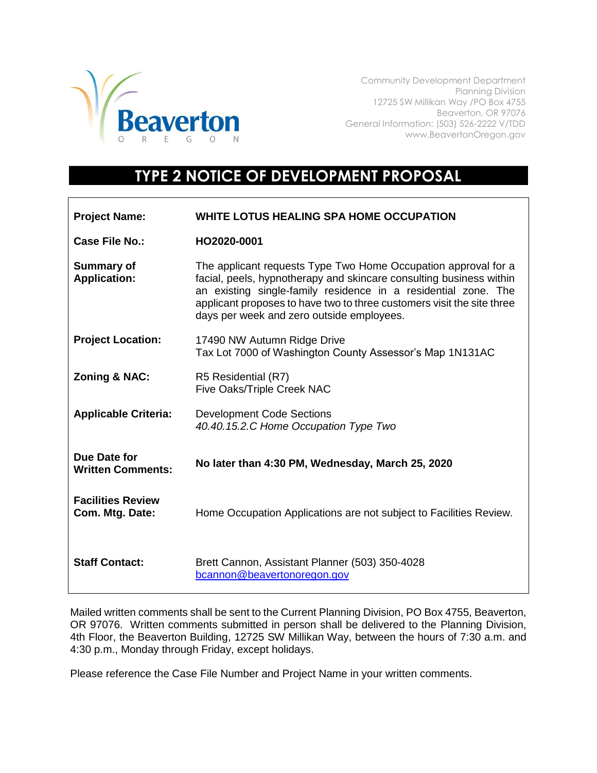

Community Development Department Planning Division 12725 SW Millikan Way /PO Box 4755 Beaverton, OR 97076 General Information: (503) 526-2222 V/TDD www.BeavertonOregon.gov

## **TYPE 2 NOTICE OF DEVELOPMENT PROPOSAL**

| <b>Project Name:</b>                        | WHITE LOTUS HEALING SPA HOME OCCUPATION                                                                                                                                                                                                                                                                                        |
|---------------------------------------------|--------------------------------------------------------------------------------------------------------------------------------------------------------------------------------------------------------------------------------------------------------------------------------------------------------------------------------|
| Case File No.:                              | HO2020-0001                                                                                                                                                                                                                                                                                                                    |
| <b>Summary of</b><br><b>Application:</b>    | The applicant requests Type Two Home Occupation approval for a<br>facial, peels, hypnotherapy and skincare consulting business within<br>an existing single-family residence in a residential zone. The<br>applicant proposes to have two to three customers visit the site three<br>days per week and zero outside employees. |
| <b>Project Location:</b>                    | 17490 NW Autumn Ridge Drive<br>Tax Lot 7000 of Washington County Assessor's Map 1N131AC                                                                                                                                                                                                                                        |
| <b>Zoning &amp; NAC:</b>                    | R5 Residential (R7)<br>Five Oaks/Triple Creek NAC                                                                                                                                                                                                                                                                              |
| <b>Applicable Criteria:</b>                 | <b>Development Code Sections</b><br>40.40.15.2.C Home Occupation Type Two                                                                                                                                                                                                                                                      |
| Due Date for<br><b>Written Comments:</b>    | No later than 4:30 PM, Wednesday, March 25, 2020                                                                                                                                                                                                                                                                               |
| <b>Facilities Review</b><br>Com. Mtg. Date: | Home Occupation Applications are not subject to Facilities Review.                                                                                                                                                                                                                                                             |
| <b>Staff Contact:</b>                       | Brett Cannon, Assistant Planner (503) 350-4028<br>bcannon@beavertonoregon.gov                                                                                                                                                                                                                                                  |

Mailed written comments shall be sent to the Current Planning Division, PO Box 4755, Beaverton, OR 97076. Written comments submitted in person shall be delivered to the Planning Division, 4th Floor, the Beaverton Building, 12725 SW Millikan Way, between the hours of 7:30 a.m. and 4:30 p.m., Monday through Friday, except holidays.

Please reference the Case File Number and Project Name in your written comments.